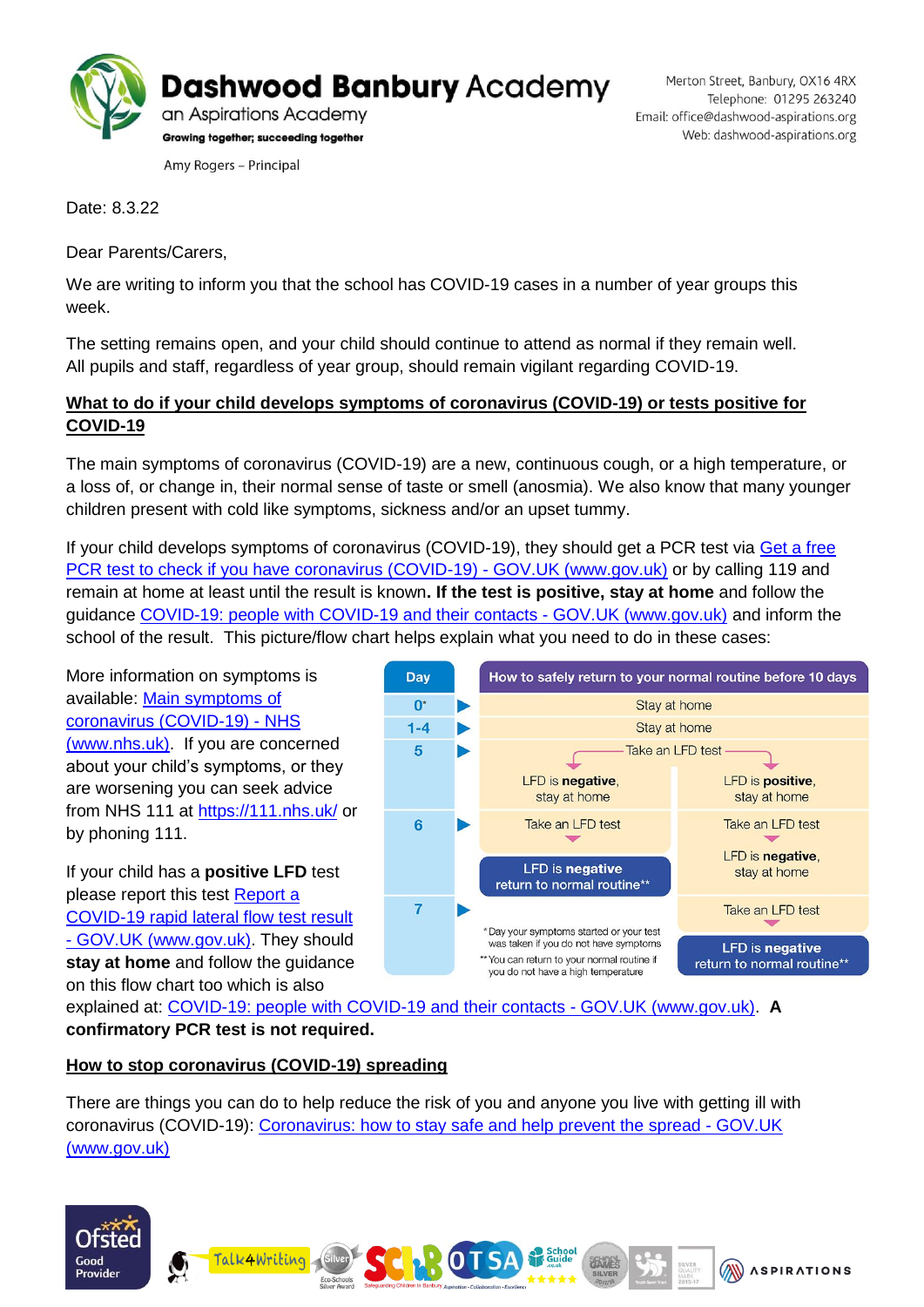

Merton Street, Banbury, OX16 4RX Telephone: 01295 263240 Email: office@dashwood-aspirations.org Web: dashwood-aspirations.org

Date: 8.3.22

Dear Parents/Carers,

We are writing to inform you that the school has COVID-19 cases in a number of year groups this week.

The setting remains open, and your child should continue to attend as normal if they remain well. All pupils and staff, regardless of year group, should remain vigilant regarding COVID-19.

## **What to do if your child develops symptoms of coronavirus (COVID-19) or tests positive for COVID-19**

The main symptoms of coronavirus (COVID-19) are a new, continuous cough, or a high temperature, or a loss of, or change in, their normal sense of taste or smell (anosmia). We also know that many younger children present with cold like symptoms, sickness and/or an upset tummy.

If your child develops symptoms of coronavirus (COVID-19), they should get a PCR test via Get a free [PCR test to check if you have coronavirus \(COVID-19\) -](https://www.gov.uk/get-coronavirus-test) GOV.UK (www.gov.uk) or by calling 119 and remain at home at least until the result is known**. If the test is positive, stay at home** and follow the guidance COVID-19: [people with COVID-19 and their contacts -](https://www.gov.uk/government/publications/covid-19-people-with-covid-19-and-their-contacts) GOV.UK (www.gov.uk) and inform the school of the result. This picture/flow chart helps explain what you need to do in these cases:

More information on symptoms is available: [Main symptoms of](https://www.nhs.uk/conditions/coronavirus-covid-19/symptoms/main-symptoms/)  [coronavirus \(COVID-19\) -](https://www.nhs.uk/conditions/coronavirus-covid-19/symptoms/main-symptoms/) NHS [\(www.nhs.uk\).](https://www.nhs.uk/conditions/coronavirus-covid-19/symptoms/main-symptoms/) If you are concerned about your child's symptoms, or they are worsening you can seek advice from NHS 111 at<https://111.nhs.uk/> or by phoning 111.

If your child has a **positive LFD** test please report this test [Report a](https://www.gov.uk/report-covid19-result)  [COVID-19 rapid lateral flow test result](https://www.gov.uk/report-covid19-result)  - [GOV.UK \(www.gov.uk\).](https://www.gov.uk/report-covid19-result) They should **stay at home** and follow the guidance on this flow chart too which is also



explained at: [COVID-19: people with COVID-19 and their contacts -](https://www.gov.uk/government/publications/covid-19-people-with-covid-19-and-their-contacts) GOV.UK (www.gov.uk). **A confirmatory PCR test is not required.**

## **How to stop coronavirus (COVID-19) spreading**

There are things you can do to help reduce the risk of you and anyone you live with getting ill with coronavirus (COVID-19): [Coronavirus: how to stay safe and help prevent the spread -](https://www.gov.uk/guidance/covid-19-coronavirus-restrictions-what-you-can-and-cannot-do#keeping-yourself-and-others-safe) GOV.UK [\(www.gov.uk\)](https://www.gov.uk/guidance/covid-19-coronavirus-restrictions-what-you-can-and-cannot-do#keeping-yourself-and-others-safe)